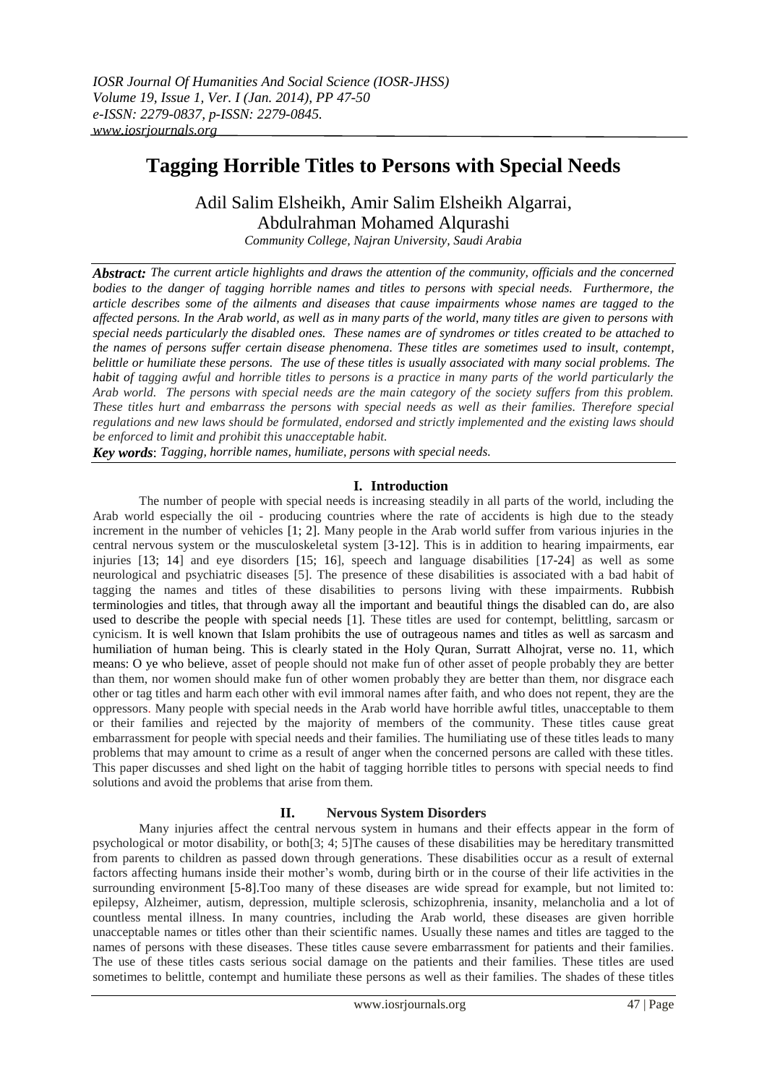# **Tagging Horrible Titles to Persons with Special Needs**

# Adil Salim Elsheikh, Amir Salim Elsheikh Algarrai, Abdulrahman Mohamed Alqurashi

*Community College, Najran University, Saudi Arabia*

*Abstract: The current article highlights and draws the attention of the community, officials and the concerned bodies to the danger of tagging horrible names and titles to persons with special needs. Furthermore, the article describes some of the ailments and diseases that cause impairments whose names are tagged to the affected persons. In the Arab world, as well as in many parts of the world, many titles are given to persons with special needs particularly the disabled ones. These names are of syndromes or titles created to be attached to the names of persons suffer certain disease phenomena. These titles are sometimes used to insult, contempt, belittle or humiliate these persons. The use of these titles is usually associated with many social problems. The habit of tagging awful and horrible titles to persons is a practice in many parts of the world particularly the Arab world. The persons with special needs are the main category of the society suffers from this problem. These titles hurt and embarrass the persons with special needs as well as their families. Therefore special regulations and new laws should be formulated, endorsed and strictly implemented and the existing laws should be enforced to limit and prohibit this unacceptable habit.*

*Key words*: *Tagging, horrible names, humiliate, persons with special needs.*

## **I. Introduction**

The number of people with special needs is increasing steadily in all parts of the world, including the Arab world especially the oil - producing countries where the rate of accidents is high due to the steady increment in the number of vehicles [1; 2]. Many people in the Arab world suffer from various injuries in the central nervous system or the musculoskeletal system [3-12]. This is in addition to hearing impairments, ear injuries [13; 14] and eye disorders [15; 16], speech and language disabilities [17-24] as well as some neurological and psychiatric diseases [5]. The presence of these disabilities is associated with a bad habit of tagging the names and titles of these disabilities to persons living with these impairments. Rubbish terminologies and titles, that through away all the important and beautiful things the disabled can do, are also used to describe the people with special needs [1]. These titles are used for contempt, belittling, sarcasm or cynicism. It is well known that Islam prohibits the use of outrageous names and titles as well as sarcasm and humiliation of human being. This is clearly stated in the Holy Quran, Surratt Alhojrat, verse no. 11, which means: O ye who believe, asset of people should not make fun of other asset of people probably they are better than them, nor women should make fun of other women probably they are better than them, nor disgrace each other or tag titles and harm each other with evil immoral names after faith, and who does not repent, they are the oppressors. Many people with special needs in the Arab world have horrible awful titles, unacceptable to them or their families and rejected by the majority of members of the community. These titles cause great embarrassment for people with special needs and their families. The humiliating use of these titles leads to many problems that may amount to crime as a result of anger when the concerned persons are called with these titles. This paper discusses and shed light on the habit of tagging horrible titles to persons with special needs to find solutions and avoid the problems that arise from them.

## **II. Nervous System Disorders**

Many injuries affect the central nervous system in humans and their effects appear in the form of psychological or motor disability, or both[3; 4; 5]The causes of these disabilities may be hereditary transmitted from parents to children as passed down through generations. These disabilities occur as a result of external factors affecting humans inside their mother's womb, during birth or in the course of their life activities in the surrounding environment [5-8]. Too many of these diseases are wide spread for example, but not limited to: epilepsy, Alzheimer, autism, depression, multiple sclerosis, schizophrenia, insanity, melancholia and a lot of countless mental illness. In many countries, including the Arab world, these diseases are given horrible unacceptable names or titles other than their scientific names. Usually these names and titles are tagged to the names of persons with these diseases. These titles cause severe embarrassment for patients and their families. The use of these titles casts serious social damage on the patients and their families. These titles are used sometimes to belittle, contempt and humiliate these persons as well as their families. The shades of these titles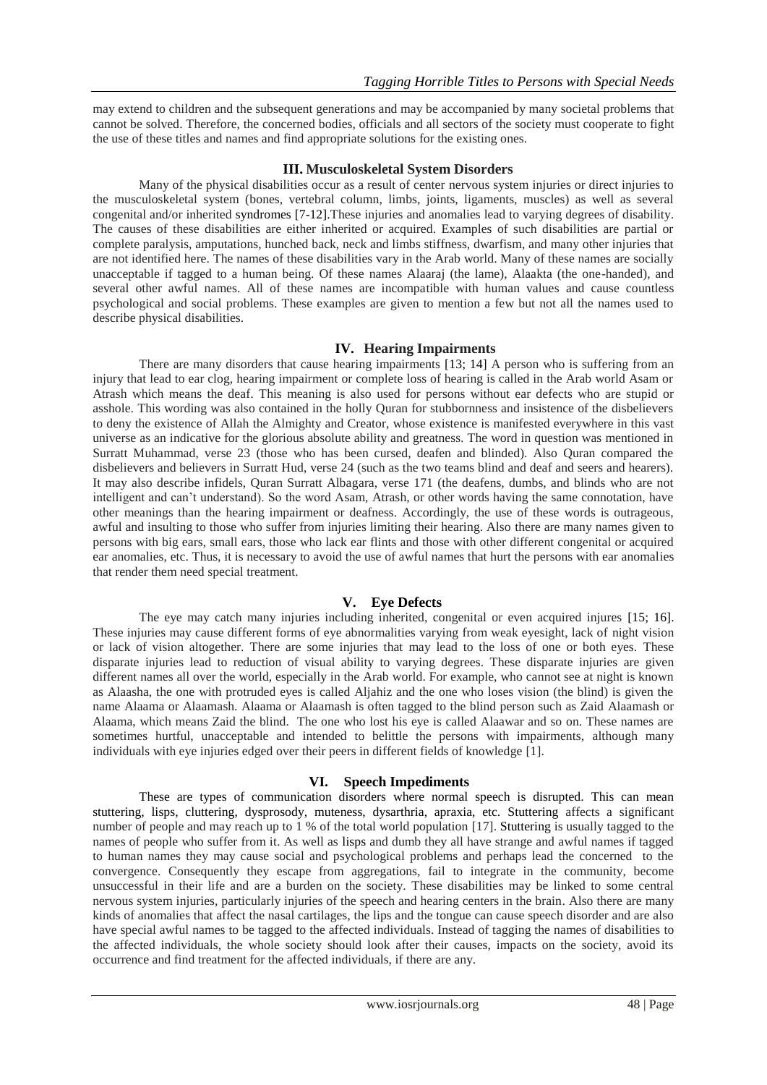may extend to children and the subsequent generations and may be accompanied by many societal problems that cannot be solved. Therefore, the concerned bodies, officials and all sectors of the society must cooperate to fight the use of these titles and names and find appropriate solutions for the existing ones.

### **III. Musculoskeletal System Disorders**

Many of the physical disabilities occur as a result of center nervous system injuries or direct injuries to the musculoskeletal system (bones, vertebral column, limbs, joints, ligaments, muscles) as well as several congenital and/or inherited syndromes [7-12].These injuries and anomalies lead to varying degrees of disability. The causes of these disabilities are either inherited or acquired. Examples of such disabilities are partial or complete paralysis, amputations, hunched back, neck and limbs stiffness, dwarfism, and many other injuries that are not identified here. The names of these disabilities vary in the Arab world. Many of these names are socially unacceptable if tagged to a human being. Of these names Alaaraj (the lame), Alaakta (the one-handed), and several other awful names. All of these names are incompatible with human values and cause countless psychological and social problems. These examples are given to mention a few but not all the names used to describe physical disabilities.

### **IV. Hearing Impairments**

There are many disorders that cause hearing impairments [13; 14] A person who is suffering from an injury that lead to ear clog, hearing impairment or complete loss of hearing is called in the Arab world Asam or Atrash which means the deaf. This meaning is also used for persons without ear defects who are stupid or asshole. This wording was also contained in the holly Quran for stubbornness and insistence of the disbelievers to deny the existence of Allah the Almighty and Creator, whose existence is manifested everywhere in this vast universe as an indicative for the glorious absolute ability and greatness. The word in question was mentioned in Surratt Muhammad, verse 23 (those who has been cursed, deafen and blinded). Also Quran compared the disbelievers and believers in Surratt Hud, verse 24 (such as the two teams blind and deaf and seers and hearers). It may also describe infidels, Quran Surratt Albagara, verse 171 (the deafens, dumbs, and blinds who are not intelligent and can't understand). So the word Asam, Atrash, or other words having the same connotation, have other meanings than the hearing impairment or deafness. Accordingly, the use of these words is outrageous, awful and insulting to those who suffer from injuries limiting their hearing. Also there are many names given to persons with big ears, small ears, those who lack ear flints and those with other different congenital or acquired ear anomalies, etc. Thus, it is necessary to avoid the use of awful names that hurt the persons with ear anomalies that render them need special treatment.

#### **V. Eye Defects**

The eye may catch many injuries including inherited, congenital or even acquired injures [15; 16]. These injuries may cause different forms of eye abnormalities varying from weak eyesight, lack of night vision or lack of vision altogether. There are some injuries that may lead to the loss of one or both eyes. These disparate injuries lead to reduction of visual ability to varying degrees. These disparate injuries are given different names all over the world, especially in the Arab world. For example, who cannot see at night is known as Alaasha, the one with protruded eyes is called Aljahiz and the one who loses vision (the blind) is given the name Alaama or Alaamash. Alaama or Alaamash is often tagged to the blind person such as Zaid Alaamash or Alaama, which means Zaid the blind. The one who lost his eye is called Alaawar and so on. These names are sometimes hurtful, unacceptable and intended to belittle the persons with impairments, although many individuals with eye injuries edged over their peers in different fields of knowledge [1].

# **VI. Speech Impediments**

These are types of [communication disorders](http://en.wikipedia.org/wiki/Communication_disorder) where normal [speech](http://en.wikipedia.org/wiki/Manner_of_articulation) is disrupted. This can mean [stuttering,](http://en.wikipedia.org/wiki/Stuttering) [lisps,](http://en.wikipedia.org/wiki/Lisp_(speech)) [cluttering,](http://en.wikipedia.org/wiki/Cluttering) [dysprosody,](http://en.wikipedia.org/wiki/Dysprosody) [muteness,](http://en.wikipedia.org/wiki/Muteness) [dysarthria,](http://en.wikipedia.org/wiki/Dysarthria) apraxia, etc. [Stuttering](http://en.wikipedia.org/wiki/Stuttering) affects a significant number of people and may reach up to 1 % of the total world population [17]. [Stuttering](http://en.wikipedia.org/wiki/Stuttering) is usually tagged to the names of people who suffer from it. As well as [lisps](http://en.wikipedia.org/wiki/Lisp_(speech)) and dumb they all have strange and awful names if tagged to human names they may cause social and psychological problems and perhaps lead the concerned to the convergence. Consequently they escape from aggregations, fail to integrate in the community, become unsuccessful in their life and are a burden on the society. These disabilities may be linked to some central nervous system injuries, particularly injuries of the speech and hearing centers in the brain. Also there are many kinds of anomalies that affect the nasal cartilages, the lips and the tongue can cause speech disorder and are also have special awful names to be tagged to the affected individuals. Instead of tagging the names of disabilities to the affected individuals, the whole society should look after their causes, impacts on the society, avoid its occurrence and find treatment for the affected individuals, if there are any.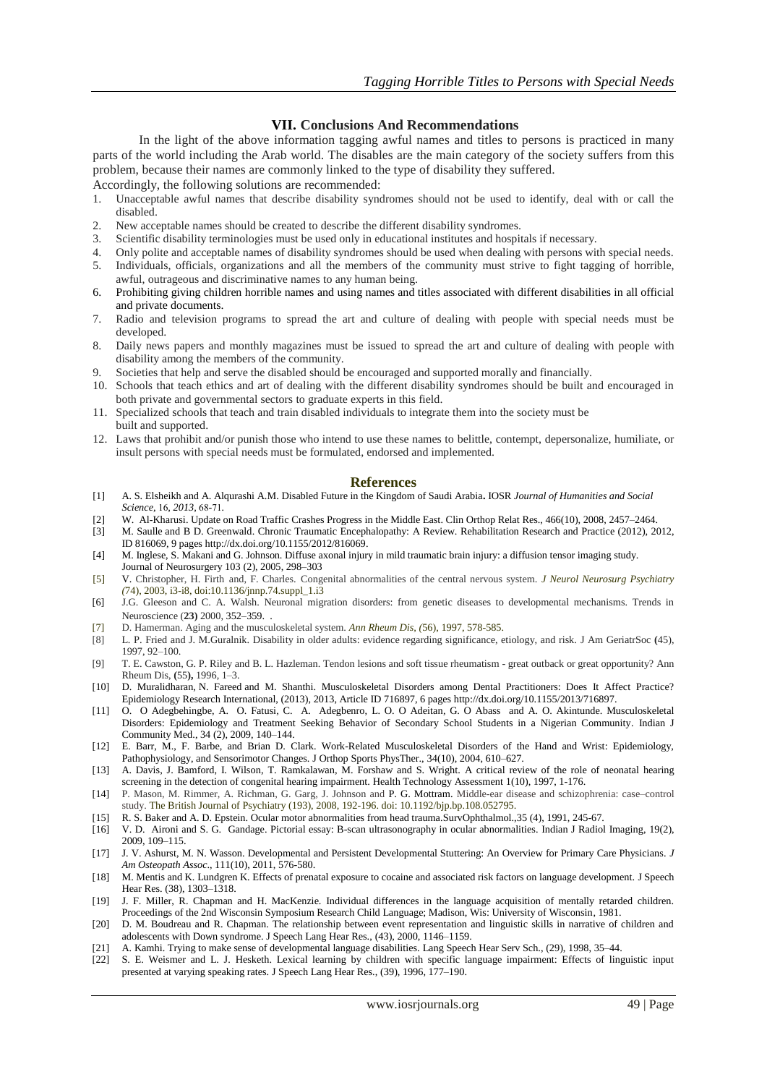#### **VII. Conclusions And Recommendations**

In the light of the above information tagging awful names and titles to persons is practiced in many parts of the world including the Arab world. The disables are the main category of the society suffers from this problem, because their names are commonly linked to the type of disability they suffered.

Accordingly, the following solutions are recommended:

- 1. Unacceptable awful names that describe disability syndromes should not be used to identify, deal with or call the disabled.
- 2. New acceptable names should be created to describe the different disability syndromes.
- 3. Scientific disability terminologies must be used only in educational institutes and hospitals if necessary.<br>4. Only polite and acceptable names of disability syndromes should be used when dealing with nersons wi
- 4. Only polite and acceptable names of disability syndromes should be used when dealing with persons with special needs.
- 5. Individuals, officials, organizations and all the members of the community must strive to fight tagging of horrible, awful, outrageous and discriminative names to any human being.
- 6. Prohibiting giving children horrible names and using names and titles associated with different disabilities in all official and private documents.
- 7. Radio and television programs to spread the art and culture of dealing with people with special needs must be developed.
- 8. Daily news papers and monthly magazines must be issued to spread the art and culture of dealing with people with disability among the members of the community.
- 9. Societies that help and serve the disabled should be encouraged and supported morally and financially.
- 10. Schools that teach ethics and art of dealing with the different disability syndromes should be built and encouraged in both private and governmental sectors to graduate experts in this field.
- 11. Specialized schools that teach and train disabled individuals to integrate them into the society must be built and supported.
- 12. Laws that prohibit and/or punish those who intend to use these names to belittle, contempt, depersonalize, humiliate, or insult persons with special needs must be formulated, endorsed and implemented.

#### **References**

- [1] A. S. Elsheikh and A. Alqurashi A.M. Disabled Future in the Kingdom of Saudi Arabia**.** IOSR *Journal of Humanities and Social Science*, 16, 2013, 68-71.
- [2] [W. Al-Kharusi.](http://www.ncbi.nlm.nih.gov/pubmed/?term=Al-Kharusi%20W%5Bauth%5D) Update on Road Traffic Crashes Progress in the Middle East. Clin Orthop Relat Res., 466(10), 2008, 2457–2464.
- [3] [M. Saulle](http://www.hindawi.com/82596429/) and [B D. Greenwald.](http://www.hindawi.com/96049704/) Chronic Traumatic Encephalopathy: A Review. Rehabilitation Research and Practice (2012), 2012, ID 816069, 9 page[s http://dx.doi.org/10.1155/2012/816069.](http://dx.doi.org/10.1155/2012/816069)
- [4] M. Inglese, S. Makani and G. Johnson. Diffuse axonal injury in mild traumatic brain injury: a diffusion tensor imaging study. Journal of Neurosurgery 103 (2), 2005, 298–303
- [5] V. [Christopher,](http://jnnp.bmj.com/search?author1=Christopher+Verity&sortspec=date&submit=Submit) H. [Firth](http://jnnp.bmj.com/search?author1=Helen+Firth&sortspec=date&submit=Submit) and, F. [Charles.](http://jnnp.bmj.com/search?author1=Charles+ffrench-Constant&sortspec=date&submit=Submit) Congenital abnormalities of the central nervous system. *J Neurol Neurosurg Psychiatry (*74), 2003, i3-i8, doi:10.1136/jnnp.74.suppl\_1.i3
- [6] J.G. Gleeson and C. A. Walsh. Neuronal migration disorders: from genetic diseases to developmental mechanisms. Trends in Neuroscience (**23)** 2000, 352–359. .
- [7] [D. Hamerman.](http://ard.bmj.com/search?author1=David+Hamerman&sortspec=date&submit=Submit) Aging and the musculoskeletal system. *Ann Rheum Dis, (*56), 1997, 578-585.
- [8] L. P. Fried and J. M.Guralnik. Disability in older adults: evidence regarding significance, etiology, and risk. J Am GeriatrSoc **(**45), 1997, 92–100.
- [9] T. E. Cawston, G. P. Riley and B. L. Hazleman. Tendon lesions and soft tissue rheumatism great outback or great opportunity? Ann Rheum Dis, **(**55**),** 1996, 1–3.
- [10] [D. Muralidharan,](http://www.hindawi.com/14795694/) [N. Fareed](http://www.hindawi.com/28945480/) and [M. Shanthi.](http://www.hindawi.com/83938759/) Musculoskeletal Disorders among Dental Practitioners: Does It Affect Practice? Epidemiology Research International, (2013), 2013, Article ID 716897, 6 page[s http://dx.doi.org/10.1155/2013/716897.](http://dx.doi.org/10.1155/2013/716897)
- [11] [O. O Adegbehingbe,](http://www.ncbi.nlm.nih.gov/pubmed/?term=Adegbehingbe%20OO%5Bauth%5D) [A. O. Fatusi,](http://www.ncbi.nlm.nih.gov/pubmed/?term=Fatusi%20AO%5Bauth%5D) [C. A. Adegbenro,](http://www.ncbi.nlm.nih.gov/pubmed/?term=Adegbenro%20CA%5Bauth%5D) [L. O. O Adeitan,](http://www.ncbi.nlm.nih.gov/pubmed/?term=Adeitan%20OO%5Bauth%5D) [G. O Abass](http://www.ncbi.nlm.nih.gov/pubmed/?term=Abass%20GO%5Bauth%5D) and [A. O. Akintunde.](http://www.ncbi.nlm.nih.gov/pubmed/?term=Akintunde%20AO%5Bauth%5D) Musculoskeletal Disorders: Epidemiology and Treatment Seeking Behavior of Secondary School Students in a Nigerian Community. Indian J Community Med., 34 (2), 2009, 140–144.
- [12] [E. Barr,](http://www.ncbi.nlm.nih.gov/pubmed/?term=Barr%20AE%5Bauth%5D) [M., F. Barbe,](http://www.ncbi.nlm.nih.gov/pubmed/?term=Barbe%20MF%5Bauth%5D) and [Brian D. Clark.](http://www.ncbi.nlm.nih.gov/pubmed/?term=Clark%20BD%5Bauth%5D) Work-Related Musculoskeletal Disorders of the Hand and Wrist: Epidemiology, Pathophysiology, and Sensorimotor Changes[. J Orthop Sports PhysTher., 34\(10\), 2004, 610–627.](http://www.ncbi.nlm.nih.gov/entrez/eutils/elink.fcgi?dbfrom=pubmed&retmode=ref&cmd=prlinks&id=15552707)
- [13] A. Davis, J. Bamford, I. Wilson, T. Ramkalawan, M. Forshaw and S. Wright. A critical review of the role of neonatal hearing screening in the detection of congenital hearing impairment. Health Technology Assessment 1(10), 1997, 1-176.
- [14] [P. Mason,](http://bjp.rcpsych.org/search?author1=Peter+Mason&sortspec=date&submit=Submit) [M. Rimmer,](http://bjp.rcpsych.org/search?author1=Michael+Rimmer&sortspec=date&submit=Submit) [A. Richman,](http://bjp.rcpsych.org/search?author1=Anna+Richman&sortspec=date&submit=Submit) [G. Garg,](http://bjp.rcpsych.org/search?author1=Gagan+Garg&sortspec=date&submit=Submit) [J. Johnson](http://bjp.rcpsych.org/search?author1=Joe+Johnson&sortspec=date&submit=Submit) and [P. G. Mottram.](http://bjp.rcpsych.org/search?author1=Patricia+G.+Mottram&sortspec=date&submit=Submit) Middle-ear disease and schizophrenia: case–control study. The British Journal of Psychiatry (193), 2008, 192-196. doi: 10.1192/bjp.bp.108.052795.
- [15] R. S. Baker and A. D. Epstein. Ocular motor abnormalities from head trauma.SurvOphthalmol.,35 (4), 1991, 245-67.
- [16] [V. D. Aironi](http://www.ncbi.nlm.nih.gov/pubmed/?term=Aironi%20V%5Bauth%5D) and [S. G. Gandage.](http://www.ncbi.nlm.nih.gov/pubmed/?term=Gandage%20S%5Bauth%5D) Pictorial essay: B-scan ultrasonography in ocular abnormalities. Indian J Radiol Imaging, 19(2), 2009, 109–115.
- [17] J. V. Ashurst, M. N. Wasson. Developmental and Persistent Developmental Stuttering: An Overview for Primary Care Physicians. *J Am Osteopath Assoc*., 111(10), 2011, 576-580.
- [18] M. Mentis and K. Lundgren K. Effects of prenatal exposure to cocaine and associated risk factors on language development. J Speech Hear Res. (38), 1303–1318.
- [19] J. F. Miller, R. Chapman and H. MacKenzie. Individual differences in the language acquisition of mentally retarded children. Proceedings of the 2nd Wisconsin Symposium Research Child Language; Madison, Wis: University of Wisconsin, 1981.
- [20] D. M. Boudreau and R. Chapman. The relationship between event representation and linguistic skills in narrative of children and adolescents with Down syndrome. J Speech Lang Hear Res., (43), 2000, 1146–1159.
- [21] A. Kamhi. Trying to make sense of developmental language disabilities. Lang Speech Hear Serv Sch., (29), 1998, 35–44.
- [22] S. E. Weismer and L. J. Hesketh. Lexical learning by children with specific language impairment: Effects of linguistic input presented at varying speaking rates. J Speech Lang Hear Res., (39), 1996, 177–190.